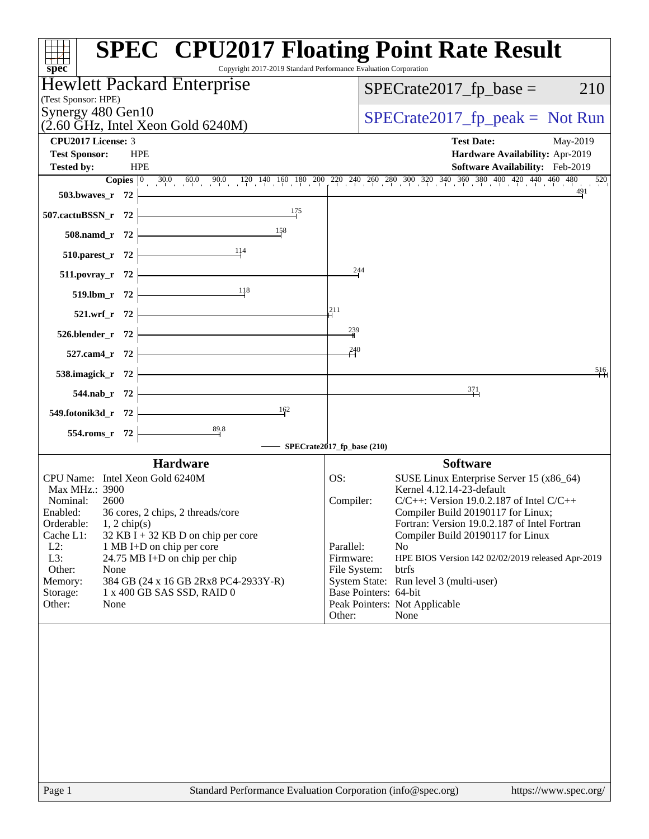| <b>SPEC<sup>®</sup> CPU2017 Floating Point Rate Result</b><br>Copyright 2017-2019 Standard Performance Evaluation Corporation<br>spec <sup>®</sup>                                     |                                                                       |
|----------------------------------------------------------------------------------------------------------------------------------------------------------------------------------------|-----------------------------------------------------------------------|
| Hewlett Packard Enterprise<br>(Test Sponsor: HPE)                                                                                                                                      | $SPECrate2017_fp\_base =$<br>210                                      |
| Synergy 480 Gen10<br>$(2.60 \text{ GHz}, \text{Intel Xeon Gold } 6240 \text{M})$                                                                                                       | $SPECrate2017_fp\_peak = Not Run$                                     |
| <b>CPU2017 License: 3</b>                                                                                                                                                              | <b>Test Date:</b><br>May-2019                                         |
| <b>Test Sponsor:</b><br><b>HPE</b>                                                                                                                                                     | Hardware Availability: Apr-2019                                       |
| <b>HPE</b><br><b>Tested by:</b>                                                                                                                                                        | Software Availability: Feb-2019                                       |
| <b>Copies</b> $\begin{bmatrix} 0 & 30.0 & 60.0 & 90.0 & 120 & 140 & 160 & 180 & 200 & 220 & 240 & 260 & 280 & 300 & 320 & 340 & 360 & 380 & 400 & 420 & 440 & 460 & 480 \end{bmatrix}$ | 520<br>491                                                            |
| 503.bwaves_r 72                                                                                                                                                                        |                                                                       |
| 175<br>507.cactuBSSN_r 72                                                                                                                                                              |                                                                       |
| 158<br>508.namd_r 72                                                                                                                                                                   |                                                                       |
| 114<br>510.parest_r 72                                                                                                                                                                 |                                                                       |
| 511.povray_r 72                                                                                                                                                                        | 244                                                                   |
| 118<br>519.lbm_r 72                                                                                                                                                                    |                                                                       |
| 211<br>521.wrf_r 72                                                                                                                                                                    |                                                                       |
| 526.blender_r 72                                                                                                                                                                       | 239                                                                   |
| 527.cam4_r 72                                                                                                                                                                          | 240                                                                   |
| 538.imagick_r 72                                                                                                                                                                       | 516                                                                   |
| the control of the control of the control of<br>544.nab_r 72                                                                                                                           | $\frac{371}{4}$                                                       |
| $\frac{162}{1}$<br>549.fotonik3d_r 72                                                                                                                                                  |                                                                       |
| $\overset{89}{\rightarrow}$<br>554.roms_r 72                                                                                                                                           |                                                                       |
| SPECrate2017_fp_base (210)                                                                                                                                                             |                                                                       |
| <b>Hardware</b>                                                                                                                                                                        | <b>Software</b>                                                       |
| CPU Name: Intel Xeon Gold 6240M<br>OS:<br>Max MHz.: 3900                                                                                                                               | SUSE Linux Enterprise Server 15 (x86_64)<br>Kernel 4.12.14-23-default |
| Nominal:<br>2600                                                                                                                                                                       | $C/C++$ : Version 19.0.2.187 of Intel $C/C++$<br>Compiler:            |
| 36 cores, 2 chips, 2 threads/core<br>Enabled:                                                                                                                                          | Compiler Build 20190117 for Linux;                                    |
| Orderable:<br>$1, 2$ chip(s)                                                                                                                                                           | Fortran: Version 19.0.2.187 of Intel Fortran                          |
| $32$ KB I + 32 KB D on chip per core<br>Cache L1:<br>$L2$ :<br>1 MB I+D on chip per core                                                                                               | Compiler Build 20190117 for Linux<br>Parallel:<br>N <sub>o</sub>      |
| L3:<br>24.75 MB I+D on chip per chip                                                                                                                                                   | Firmware:<br>HPE BIOS Version I42 02/02/2019 released Apr-2019        |
| Other:<br>None                                                                                                                                                                         | btrfs<br>File System:                                                 |
| 384 GB (24 x 16 GB 2Rx8 PC4-2933Y-R)<br>Memory:                                                                                                                                        | System State: Run level 3 (multi-user)<br>Base Pointers: 64-bit       |
| Storage:<br>1 x 400 GB SAS SSD, RAID 0<br>Other:<br>None                                                                                                                               | Peak Pointers: Not Applicable                                         |
| Other:                                                                                                                                                                                 | None                                                                  |
|                                                                                                                                                                                        |                                                                       |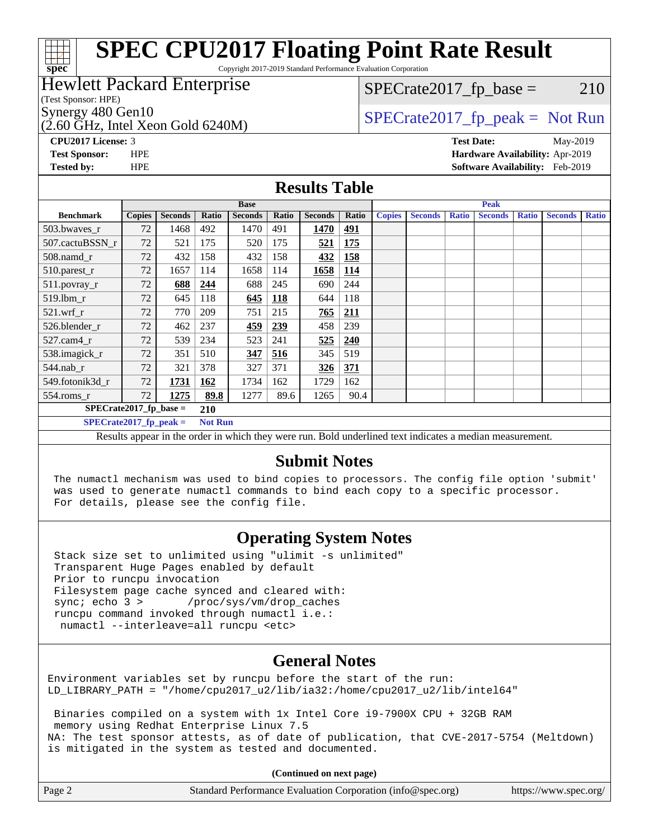# **[spec](http://www.spec.org/)**

# **[SPEC CPU2017 Floating Point Rate Result](http://www.spec.org/auto/cpu2017/Docs/result-fields.html#SPECCPU2017FloatingPointRateResult)**

Copyright 2017-2019 Standard Performance Evaluation Corporation

### Hewlett Packard Enterprise

(Test Sponsor: HPE)

 $(2.60 \text{ GHz}, \text{Intel Xeon}$  Gold 6240M)

 $SPECTate2017<sub>fr</sub> base = 210$ 

# Synergy 480 Gen10  $SPECrate2017$  fp\_peak = Not Run

**[CPU2017 License:](http://www.spec.org/auto/cpu2017/Docs/result-fields.html#CPU2017License)** 3 **[Test Date:](http://www.spec.org/auto/cpu2017/Docs/result-fields.html#TestDate)** May-2019 **[Test Sponsor:](http://www.spec.org/auto/cpu2017/Docs/result-fields.html#TestSponsor)** HPE **[Hardware Availability:](http://www.spec.org/auto/cpu2017/Docs/result-fields.html#HardwareAvailability)** Apr-2019 **[Tested by:](http://www.spec.org/auto/cpu2017/Docs/result-fields.html#Testedby)** HPE **[Software Availability:](http://www.spec.org/auto/cpu2017/Docs/result-fields.html#SoftwareAvailability)** Feb-2019

#### **[Results Table](http://www.spec.org/auto/cpu2017/Docs/result-fields.html#ResultsTable)**

|                  | <b>Base</b>                                |                |       |                |            | <b>Peak</b>    |               |               |                 |              |                |              |                |              |
|------------------|--------------------------------------------|----------------|-------|----------------|------------|----------------|---------------|---------------|-----------------|--------------|----------------|--------------|----------------|--------------|
| <b>Benchmark</b> | <b>Copies</b>                              | <b>Seconds</b> | Ratio | <b>Seconds</b> | Ratio      | <b>Seconds</b> | Ratio         | <b>Copies</b> | <b>Seconds</b>  | <b>Ratio</b> | <b>Seconds</b> | <b>Ratio</b> | <b>Seconds</b> | <b>Ratio</b> |
| 503.bwaves_r     | 72                                         | 1468           | 492   | 1470           | 491        | 1470           | 491           |               |                 |              |                |              |                |              |
| 507.cactuBSSN r  | 72                                         | 521            | 175   | 520            | 175        | 521            | 175           |               |                 |              |                |              |                |              |
| $508$ .namd $_r$ | 72                                         | 432            | 158   | 432            | 158        | 432            | 158           |               |                 |              |                |              |                |              |
| 510.parest_r     | 72                                         | 1657           | 114   | 1658           | 114        | 1658           | <b>114</b>    |               |                 |              |                |              |                |              |
| 511.povray_r     | 72                                         | 688            | 244   | 688            | 245        | 690            | 244           |               |                 |              |                |              |                |              |
| $519$ .lbm $r$   | 72                                         | 645            | 118   | 645            | <b>118</b> | 644            | 118           |               |                 |              |                |              |                |              |
| $521$ .wrf r     | 72                                         | 770            | 209   | 751            | 215        | 765            | 211           |               |                 |              |                |              |                |              |
| 526.blender_r    | 72                                         | 462            | 237   | 459            | 239        | 458            | 239           |               |                 |              |                |              |                |              |
| $527.cam4_r$     | 72                                         | 539            | 234   | 523            | 241        | 525            | 240           |               |                 |              |                |              |                |              |
| 538.imagick_r    | 72                                         | 351            | 510   | 347            | 516        | 345            | 519           |               |                 |              |                |              |                |              |
| 544.nab r        | 72                                         | 321            | 378   | 327            | 371        | <u>326</u>     | 371           |               |                 |              |                |              |                |              |
| 549.fotonik3d r  | 72                                         | 1731           | 162   | 1734           | 162        | 1729           | 162           |               |                 |              |                |              |                |              |
| $554$ .roms_r    | 72                                         | 1275           | 89.8  | 1277           | 89.6       | 1265           | 90.4          |               |                 |              |                |              |                |              |
|                  | $SPECrate2017_fp\_base =$<br>210           |                |       |                |            |                |               |               |                 |              |                |              |                |              |
|                  | $SPECrate2017$ fp peak =<br><b>Not Run</b> |                |       |                |            |                |               |               |                 |              |                |              |                |              |
|                  |                                            |                |       | .              |            |                | _ _ _ _ _ _ _ |               | $\cdot$ $\cdot$ |              | $\sim$ $\sim$  |              |                |              |

Results appear in the [order in which they were run.](http://www.spec.org/auto/cpu2017/Docs/result-fields.html#RunOrder) Bold underlined text [indicates a median measurement.](http://www.spec.org/auto/cpu2017/Docs/result-fields.html#Median)

#### **[Submit Notes](http://www.spec.org/auto/cpu2017/Docs/result-fields.html#SubmitNotes)**

 The numactl mechanism was used to bind copies to processors. The config file option 'submit' was used to generate numactl commands to bind each copy to a specific processor. For details, please see the config file.

#### **[Operating System Notes](http://www.spec.org/auto/cpu2017/Docs/result-fields.html#OperatingSystemNotes)**

 Stack size set to unlimited using "ulimit -s unlimited" Transparent Huge Pages enabled by default Prior to runcpu invocation Filesystem page cache synced and cleared with: sync; echo 3 > /proc/sys/vm/drop\_caches runcpu command invoked through numactl i.e.: numactl --interleave=all runcpu <etc>

#### **[General Notes](http://www.spec.org/auto/cpu2017/Docs/result-fields.html#GeneralNotes)**

Environment variables set by runcpu before the start of the run: LD\_LIBRARY\_PATH = "/home/cpu2017\_u2/lib/ia32:/home/cpu2017\_u2/lib/intel64"

 Binaries compiled on a system with 1x Intel Core i9-7900X CPU + 32GB RAM memory using Redhat Enterprise Linux 7.5 NA: The test sponsor attests, as of date of publication, that CVE-2017-5754 (Meltdown) is mitigated in the system as tested and documented.

**(Continued on next page)**

| Page 2 | Standard Performance Evaluation Corporation (info@spec.org) | https://www.spec.org/ |
|--------|-------------------------------------------------------------|-----------------------|
|--------|-------------------------------------------------------------|-----------------------|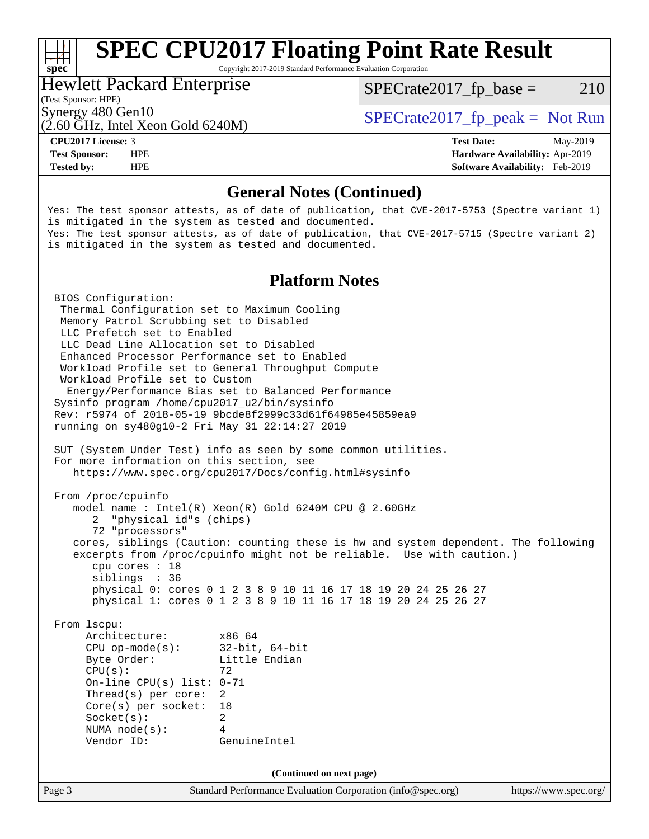# **[SPEC CPU2017 Floating Point Rate Result](http://www.spec.org/auto/cpu2017/Docs/result-fields.html#SPECCPU2017FloatingPointRateResult)**

Copyright 2017-2019 Standard Performance Evaluation Corporation

### Hewlett Packard Enterprise

 $SPECTate2017<sub>fr</sub> base = 210$ 

### (Test Sponsor: HPE)

(2.60 GHz, Intel Xeon Gold 6240M)

Synergy 480 Gen10  $SPECrate2017$  fp\_peak = Not Run

**[spec](http://www.spec.org/)**<sup>®</sup>

**[Tested by:](http://www.spec.org/auto/cpu2017/Docs/result-fields.html#Testedby)** HPE **[Software Availability:](http://www.spec.org/auto/cpu2017/Docs/result-fields.html#SoftwareAvailability)** Feb-2019

**[CPU2017 License:](http://www.spec.org/auto/cpu2017/Docs/result-fields.html#CPU2017License)** 3 **[Test Date:](http://www.spec.org/auto/cpu2017/Docs/result-fields.html#TestDate)** May-2019 **[Test Sponsor:](http://www.spec.org/auto/cpu2017/Docs/result-fields.html#TestSponsor)** HPE **[Hardware Availability:](http://www.spec.org/auto/cpu2017/Docs/result-fields.html#HardwareAvailability)** Apr-2019

#### **[General Notes \(Continued\)](http://www.spec.org/auto/cpu2017/Docs/result-fields.html#GeneralNotes)**

Yes: The test sponsor attests, as of date of publication, that CVE-2017-5753 (Spectre variant 1) is mitigated in the system as tested and documented. Yes: The test sponsor attests, as of date of publication, that CVE-2017-5715 (Spectre variant 2) is mitigated in the system as tested and documented.

#### **[Platform Notes](http://www.spec.org/auto/cpu2017/Docs/result-fields.html#PlatformNotes)**

Page 3 Standard Performance Evaluation Corporation [\(info@spec.org\)](mailto:info@spec.org) <https://www.spec.org/> BIOS Configuration: Thermal Configuration set to Maximum Cooling Memory Patrol Scrubbing set to Disabled LLC Prefetch set to Enabled LLC Dead Line Allocation set to Disabled Enhanced Processor Performance set to Enabled Workload Profile set to General Throughput Compute Workload Profile set to Custom Energy/Performance Bias set to Balanced Performance Sysinfo program /home/cpu2017\_u2/bin/sysinfo Rev: r5974 of 2018-05-19 9bcde8f2999c33d61f64985e45859ea9 running on sy480g10-2 Fri May 31 22:14:27 2019 SUT (System Under Test) info as seen by some common utilities. For more information on this section, see <https://www.spec.org/cpu2017/Docs/config.html#sysinfo> From /proc/cpuinfo model name : Intel(R) Xeon(R) Gold 6240M CPU @ 2.60GHz 2 "physical id"s (chips) 72 "processors" cores, siblings (Caution: counting these is hw and system dependent. The following excerpts from /proc/cpuinfo might not be reliable. Use with caution.) cpu cores : 18 siblings : 36 physical 0: cores 0 1 2 3 8 9 10 11 16 17 18 19 20 24 25 26 27 physical 1: cores 0 1 2 3 8 9 10 11 16 17 18 19 20 24 25 26 27 From lscpu: Architecture: x86\_64 CPU op-mode(s): 32-bit, 64-bit Byte Order: Little Endian  $CPU(s):$  72 On-line CPU(s) list: 0-71 Thread(s) per core: 2 Core(s) per socket: 18 Socket(s): 2 NUMA node(s): 4 Vendor ID: GenuineIntel **(Continued on next page)**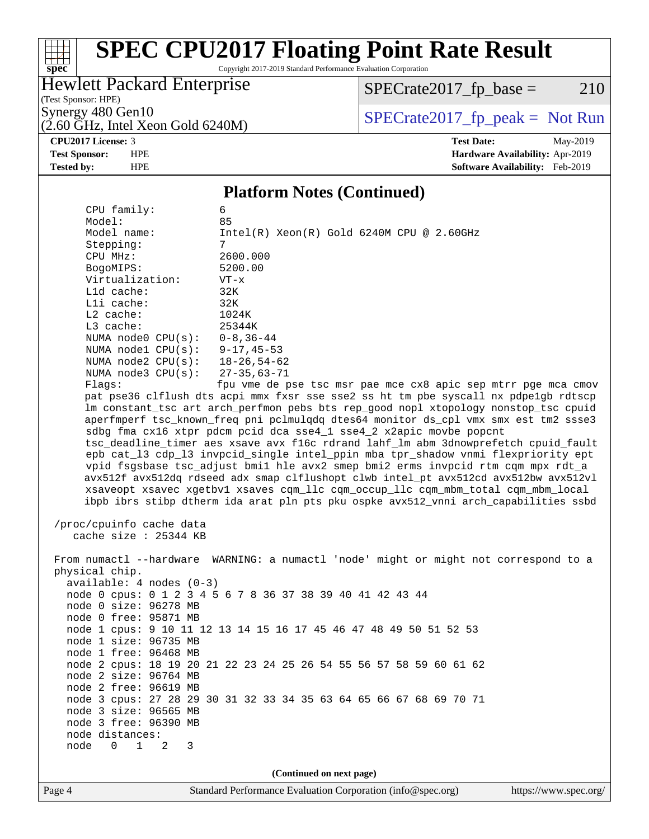# **[spec](http://www.spec.org/)**

# **[SPEC CPU2017 Floating Point Rate Result](http://www.spec.org/auto/cpu2017/Docs/result-fields.html#SPECCPU2017FloatingPointRateResult)**

Copyright 2017-2019 Standard Performance Evaluation Corporation

### Hewlett Packard Enterprise

 $SPECrate2017_fp\_base = 210$ 

(Test Sponsor: HPE)

 $(2.60 \text{ GHz}, \text{Intel Xeon Gold } 6240 \text{M})$ 

Synergy 480 Gen10<br>  $\begin{array}{r} \text{Specrate2017\_fp\_peak = Not Run} \\ \text{Specrate2017\_fp\_peak = Not Run} \end{array}$ 

**[CPU2017 License:](http://www.spec.org/auto/cpu2017/Docs/result-fields.html#CPU2017License)** 3 **[Test Date:](http://www.spec.org/auto/cpu2017/Docs/result-fields.html#TestDate)** May-2019 **[Test Sponsor:](http://www.spec.org/auto/cpu2017/Docs/result-fields.html#TestSponsor)** HPE **[Hardware Availability:](http://www.spec.org/auto/cpu2017/Docs/result-fields.html#HardwareAvailability)** Apr-2019 **[Tested by:](http://www.spec.org/auto/cpu2017/Docs/result-fields.html#Testedby)** HPE **[Software Availability:](http://www.spec.org/auto/cpu2017/Docs/result-fields.html#SoftwareAvailability)** Feb-2019

#### **[Platform Notes \(Continued\)](http://www.spec.org/auto/cpu2017/Docs/result-fields.html#PlatformNotes)**

| CPU family:                                                                          | 6                                                                                    |  |  |  |  |  |
|--------------------------------------------------------------------------------------|--------------------------------------------------------------------------------------|--|--|--|--|--|
| Model:                                                                               | 85                                                                                   |  |  |  |  |  |
| Model name:                                                                          | $Intel(R) Xeon(R) Gold 6240M CPU @ 2.60GHz$                                          |  |  |  |  |  |
| Stepping:                                                                            | 7                                                                                    |  |  |  |  |  |
| CPU MHz:                                                                             | 2600.000                                                                             |  |  |  |  |  |
| BogoMIPS:                                                                            | 5200.00                                                                              |  |  |  |  |  |
| Virtualization:                                                                      | $VT - x$                                                                             |  |  |  |  |  |
| L1d cache:                                                                           | 32K                                                                                  |  |  |  |  |  |
| Lli cache:                                                                           | 32K                                                                                  |  |  |  |  |  |
| L2 cache:                                                                            | 1024K                                                                                |  |  |  |  |  |
| L3 cache:                                                                            | 25344K                                                                               |  |  |  |  |  |
| NUMA node0 $CPU(s): 0-8, 36-44$                                                      |                                                                                      |  |  |  |  |  |
| NUMA node1 CPU(s): 9-17,45-53                                                        |                                                                                      |  |  |  |  |  |
| NUMA node2 CPU(s): 18-26,54-62                                                       |                                                                                      |  |  |  |  |  |
| NUMA node3 CPU(s):                                                                   | 27–35,63–71                                                                          |  |  |  |  |  |
| Flaqs:                                                                               | fpu vme de pse tsc msr pae mce cx8 apic sep mtrr pge mca cmov                        |  |  |  |  |  |
|                                                                                      | pat pse36 clflush dts acpi mmx fxsr sse sse2 ss ht tm pbe syscall nx pdpelgb rdtscp  |  |  |  |  |  |
|                                                                                      | lm constant_tsc art arch_perfmon pebs bts rep_good nopl xtopology nonstop_tsc cpuid  |  |  |  |  |  |
|                                                                                      | aperfmperf tsc_known_freq pni pclmulqdq dtes64 monitor ds_cpl vmx smx est tm2 ssse3  |  |  |  |  |  |
|                                                                                      | sdbg fma cx16 xtpr pdcm pcid dca sse4_1 sse4_2 x2apic movbe popcnt                   |  |  |  |  |  |
|                                                                                      | tsc_deadline_timer aes xsave avx f16c rdrand lahf_lm abm 3dnowprefetch cpuid_fault   |  |  |  |  |  |
|                                                                                      | epb cat_13 cdp_13 invpcid_single intel_ppin mba tpr_shadow vnmi flexpriority ept     |  |  |  |  |  |
|                                                                                      | vpid fsgsbase tsc_adjust bmil hle avx2 smep bmi2 erms invpcid rtm cqm mpx rdt_a      |  |  |  |  |  |
|                                                                                      | avx512f avx512dq rdseed adx smap clflushopt clwb intel_pt avx512cd avx512bw avx512vl |  |  |  |  |  |
|                                                                                      | xsaveopt xsavec xgetbvl xsaves cqm_llc cqm_occup_llc cqm_mbm_total cqm_mbm_local     |  |  |  |  |  |
| ibpb ibrs stibp dtherm ida arat pln pts pku ospke avx512_vnni arch_capabilities ssbd |                                                                                      |  |  |  |  |  |
|                                                                                      |                                                                                      |  |  |  |  |  |
| /proc/cpuinfo cache data                                                             |                                                                                      |  |  |  |  |  |
| cache size : 25344 KB                                                                |                                                                                      |  |  |  |  |  |
|                                                                                      |                                                                                      |  |  |  |  |  |
|                                                                                      | From numactl --hardware WARNING: a numactl 'node' might or might not correspond to a |  |  |  |  |  |
| physical chip.                                                                       |                                                                                      |  |  |  |  |  |
| $available: 4 nodes (0-3)$                                                           |                                                                                      |  |  |  |  |  |
|                                                                                      | node 0 cpus: 0 1 2 3 4 5 6 7 8 36 37 38 39 40 41 42 43 44                            |  |  |  |  |  |
| node 0 size: 96278 MB                                                                |                                                                                      |  |  |  |  |  |
| node 0 free: 95871 MB                                                                |                                                                                      |  |  |  |  |  |
|                                                                                      | node 1 cpus: 9 10 11 12 13 14 15 16 17 45 46 47 48 49 50 51 52 53                    |  |  |  |  |  |
| node 1 size: 96735 MB                                                                |                                                                                      |  |  |  |  |  |
| node 1 free: 96468 MB                                                                |                                                                                      |  |  |  |  |  |
|                                                                                      | node 2 cpus: 18 19 20 21 22 23 24 25 26 54 55 56 57 58 59 60 61 62                   |  |  |  |  |  |
| node 2 size: 96764 MB                                                                |                                                                                      |  |  |  |  |  |
| node 2 free: 96619 MB                                                                |                                                                                      |  |  |  |  |  |
|                                                                                      | node 3 cpus: 27 28 29 30 31 32 33 34 35 63 64 65 66 67 68 69 70 71                   |  |  |  |  |  |
| node 3 size: 96565 MB                                                                |                                                                                      |  |  |  |  |  |
| node 3 free: 96390 MB                                                                |                                                                                      |  |  |  |  |  |
| node distances:                                                                      |                                                                                      |  |  |  |  |  |
| $0 \quad 1$<br>node<br>2<br>3                                                        |                                                                                      |  |  |  |  |  |
|                                                                                      |                                                                                      |  |  |  |  |  |
| (Continued on next page)                                                             |                                                                                      |  |  |  |  |  |
|                                                                                      |                                                                                      |  |  |  |  |  |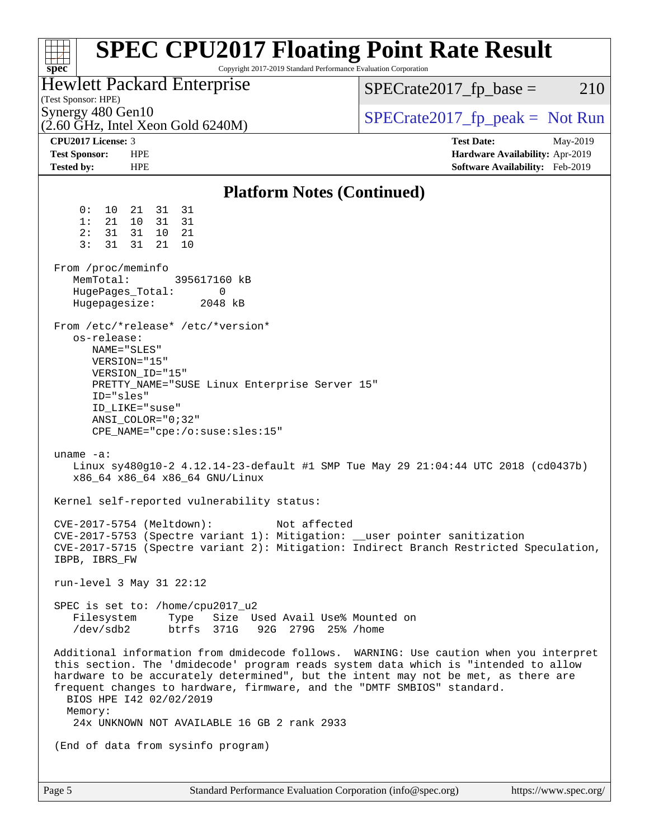| <b>SPEC CPU2017 Floating Point Rate Result</b><br>Copyright 2017-2019 Standard Performance Evaluation Corporation<br>spec <sup>®</sup>                                                                                                                                                                                                                                                                                              |                                  |
|-------------------------------------------------------------------------------------------------------------------------------------------------------------------------------------------------------------------------------------------------------------------------------------------------------------------------------------------------------------------------------------------------------------------------------------|----------------------------------|
| <b>Hewlett Packard Enterprise</b><br>(Test Sponsor: HPE)                                                                                                                                                                                                                                                                                                                                                                            | $SPECrate2017fp base =$<br>210   |
| Synergy 480 Gen10<br>$(2.60 \text{ GHz}, \text{Intel Xeon Gold } 6240 \text{M})$                                                                                                                                                                                                                                                                                                                                                    | $SPECTate2017$ fp peak = Not Run |
| CPU <sub>2017</sub> License: 3                                                                                                                                                                                                                                                                                                                                                                                                      | <b>Test Date:</b><br>May-2019    |
| <b>Test Sponsor:</b><br><b>HPE</b>                                                                                                                                                                                                                                                                                                                                                                                                  | Hardware Availability: Apr-2019  |
| <b>HPE</b><br><b>Tested by:</b>                                                                                                                                                                                                                                                                                                                                                                                                     | Software Availability: Feb-2019  |
| <b>Platform Notes (Continued)</b>                                                                                                                                                                                                                                                                                                                                                                                                   |                                  |
| 31 31<br>0 :<br>10<br>21                                                                                                                                                                                                                                                                                                                                                                                                            |                                  |
| 1:<br>21<br>10<br>31<br>31<br>2:<br>31<br>31<br>10 21                                                                                                                                                                                                                                                                                                                                                                               |                                  |
| 3:<br>31<br>31<br>21<br>10                                                                                                                                                                                                                                                                                                                                                                                                          |                                  |
| From /proc/meminfo<br>MemTotal:<br>395617160 kB<br>HugePages_Total:<br>0<br>Hugepagesize:<br>2048 kB                                                                                                                                                                                                                                                                                                                                |                                  |
| From /etc/*release* /etc/*version*<br>os-release:<br>NAME="SLES"<br>VERSION="15"<br>VERSION_ID="15"<br>PRETTY_NAME="SUSE Linux Enterprise Server 15"<br>ID="sles"<br>ID LIKE="suse"<br>$ANSI$ _COLOR="0;32"<br>CPE_NAME="cpe:/o:suse:sles:15"                                                                                                                                                                                       |                                  |
| uname $-a$ :<br>Linux sy480g10-2 4.12.14-23-default #1 SMP Tue May 29 21:04:44 UTC 2018 (cd0437b)<br>x86_64 x86_64 x86_64 GNU/Linux                                                                                                                                                                                                                                                                                                 |                                  |
| Kernel self-reported vulnerability status:                                                                                                                                                                                                                                                                                                                                                                                          |                                  |
| CVE-2017-5754 (Meltdown):<br>Not affected<br>CVE-2017-5753 (Spectre variant 1): Mitigation: __user pointer sanitization<br>CVE-2017-5715 (Spectre variant 2): Mitigation: Indirect Branch Restricted Speculation,<br>IBPB, IBRS_FW                                                                                                                                                                                                  |                                  |
| run-level 3 May 31 22:12                                                                                                                                                                                                                                                                                                                                                                                                            |                                  |
| SPEC is set to: /home/cpu2017_u2<br>Filesystem<br>Type Size Used Avail Use% Mounted on<br>/dev/sdb2 btrfs 371G 92G 279G 25% /home                                                                                                                                                                                                                                                                                                   |                                  |
| Additional information from dmidecode follows. WARNING: Use caution when you interpret<br>this section. The 'dmidecode' program reads system data which is "intended to allow<br>hardware to be accurately determined", but the intent may not be met, as there are<br>frequent changes to hardware, firmware, and the "DMTF SMBIOS" standard.<br>BIOS HPE 142 02/02/2019<br>Memory:<br>24x UNKNOWN NOT AVAILABLE 16 GB 2 rank 2933 |                                  |
| (End of data from sysinfo program)                                                                                                                                                                                                                                                                                                                                                                                                  |                                  |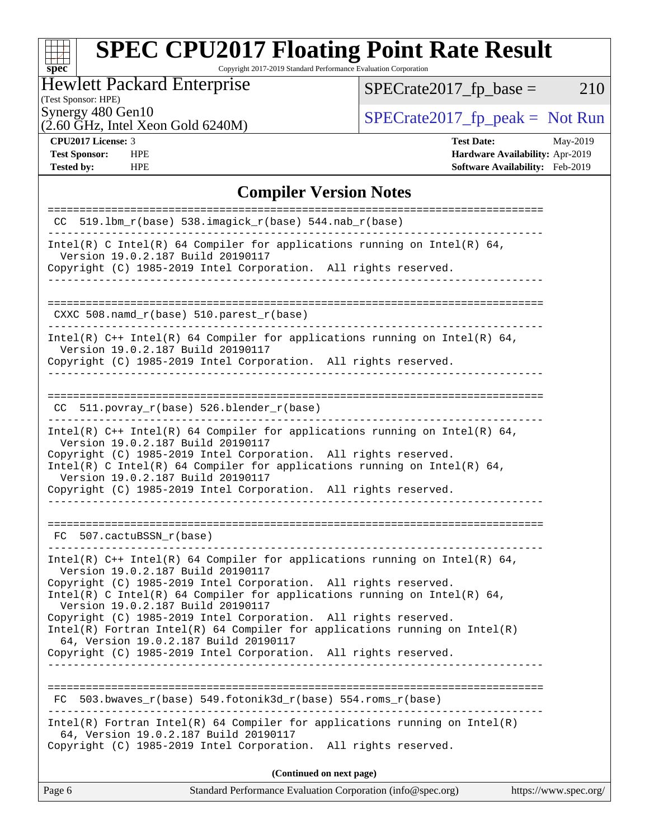#### $\pm$ **[spec](http://www.spec.org/)**

# **[SPEC CPU2017 Floating Point Rate Result](http://www.spec.org/auto/cpu2017/Docs/result-fields.html#SPECCPU2017FloatingPointRateResult)**

Copyright 2017-2019 Standard Performance Evaluation Corporation

### Hewlett Packard Enterprise

 $SPECrate2017_fp\_base = 210$ 

#### (Test Sponsor: HPE)

 $(2.60 \text{ GHz}, \text{Intel Xeon}$  Gold 6240M)

Synergy 480 Gen10<br>  $\begin{array}{r} \text{Specrate2017\_fp\_peak = Not Run} \\ \text{Specrate2017\_fp\_peak = Not Run} \end{array}$ 

**[Tested by:](http://www.spec.org/auto/cpu2017/Docs/result-fields.html#Testedby)** HPE **[Software Availability:](http://www.spec.org/auto/cpu2017/Docs/result-fields.html#SoftwareAvailability)** Feb-2019

**[CPU2017 License:](http://www.spec.org/auto/cpu2017/Docs/result-fields.html#CPU2017License)** 3 **[Test Date:](http://www.spec.org/auto/cpu2017/Docs/result-fields.html#TestDate)** May-2019 **[Test Sponsor:](http://www.spec.org/auto/cpu2017/Docs/result-fields.html#TestSponsor)** HPE **[Hardware Availability:](http://www.spec.org/auto/cpu2017/Docs/result-fields.html#HardwareAvailability)** Apr-2019

#### **[Compiler Version Notes](http://www.spec.org/auto/cpu2017/Docs/result-fields.html#CompilerVersionNotes)**

| $CC$ 519.1bm_ $r$ (base) 538.imagick_ $r$ (base) 544.nab_ $r$ (base)                                                                                                                        |                       |
|---------------------------------------------------------------------------------------------------------------------------------------------------------------------------------------------|-----------------------|
| Intel(R) C Intel(R) 64 Compiler for applications running on Intel(R) 64,<br>Version 19.0.2.187 Build 20190117                                                                               |                       |
| Copyright (C) 1985-2019 Intel Corporation. All rights reserved.<br>________________________________                                                                                         |                       |
| $CXXC 508.namd_r(base) 510.parest_r(base)$                                                                                                                                                  |                       |
|                                                                                                                                                                                             |                       |
| Intel(R) $C++$ Intel(R) 64 Compiler for applications running on Intel(R) 64,<br>Version 19.0.2.187 Build 20190117<br>Copyright (C) 1985-2019 Intel Corporation. All rights reserved.        |                       |
| $CC$ 511.povray $r(base)$ 526.blender $r(base)$                                                                                                                                             |                       |
| Intel(R) $C++$ Intel(R) 64 Compiler for applications running on Intel(R) 64,<br>Version 19.0.2.187 Build 20190117<br>Copyright (C) 1985-2019 Intel Corporation. All rights reserved.        |                       |
| Intel(R) C Intel(R) 64 Compiler for applications running on Intel(R) 64,<br>Version 19.0.2.187 Build 20190117                                                                               |                       |
| Copyright (C) 1985-2019 Intel Corporation. All rights reserved.                                                                                                                             |                       |
| FC 507.cactuBSSN_r(base)                                                                                                                                                                    |                       |
| Intel(R) $C++$ Intel(R) 64 Compiler for applications running on Intel(R) 64,<br>Version 19.0.2.187 Build 20190117                                                                           |                       |
| Copyright (C) 1985-2019 Intel Corporation. All rights reserved.<br>Intel(R) C Intel(R) 64 Compiler for applications running on Intel(R) 64,                                                 |                       |
| Version 19.0.2.187 Build 20190117<br>Copyright (C) 1985-2019 Intel Corporation. All rights reserved.<br>$Intel(R)$ Fortran Intel(R) 64 Compiler for applications running on Intel(R)        |                       |
| 64, Version 19.0.2.187 Build 20190117<br>Copyright (C) 1985-2019 Intel Corporation. All rights reserved.                                                                                    |                       |
|                                                                                                                                                                                             |                       |
| 503.bwaves_r(base) 549.fotonik3d_r(base) 554.roms_r(base)<br>FC                                                                                                                             |                       |
| $Intel(R)$ Fortran Intel(R) 64 Compiler for applications running on Intel(R)<br>64, Version 19.0.2.187 Build 20190117<br>Copyright (C) 1985-2019 Intel Corporation.<br>All rights reserved. |                       |
|                                                                                                                                                                                             |                       |
| (Continued on next page)                                                                                                                                                                    |                       |
| Standard Performance Evaluation Corporation (info@spec.org)<br>Page 6                                                                                                                       | https://www.spec.org/ |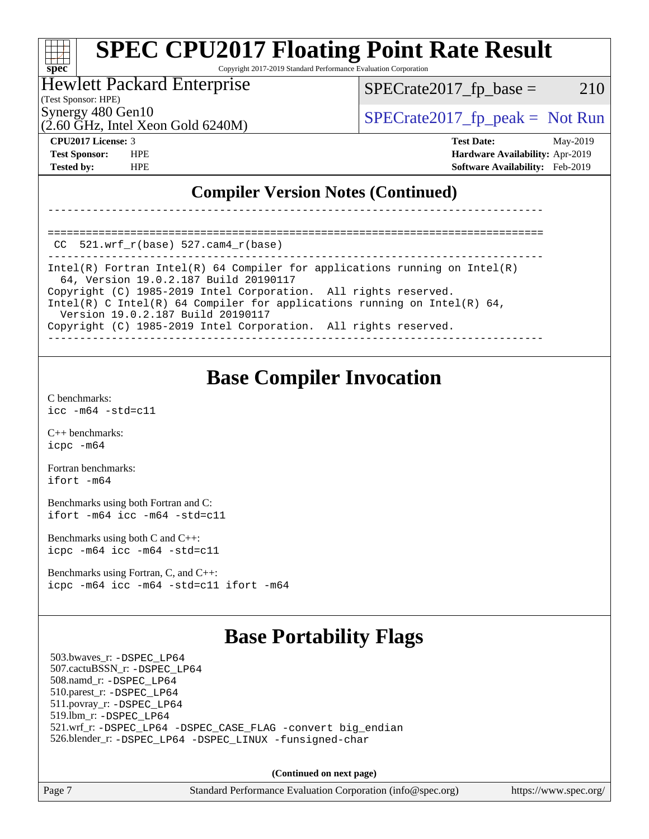#### **[SPEC CPU2017 Floating Point Rate Result](http://www.spec.org/auto/cpu2017/Docs/result-fields.html#SPECCPU2017FloatingPointRateResult)** ti h **[spec](http://www.spec.org/)** Copyright 2017-2019 Standard Performance Evaluation Corporation

#### Hewlett Packard Enterprise

 $SPECTate2017<sub>fr</sub> base = 210$ 

(Test Sponsor: HPE)

 $(2.60 \text{ GHz}, \text{Intel Xeon Gold } 6240 \text{M})$ 

Synergy 480 Gen10  $S^{perg}$  [SPECrate2017\\_fp\\_peak =](http://www.spec.org/auto/cpu2017/Docs/result-fields.html#SPECrate2017fppeak) Not Run

**[CPU2017 License:](http://www.spec.org/auto/cpu2017/Docs/result-fields.html#CPU2017License)** 3 **[Test Date:](http://www.spec.org/auto/cpu2017/Docs/result-fields.html#TestDate)** May-2019 **[Test Sponsor:](http://www.spec.org/auto/cpu2017/Docs/result-fields.html#TestSponsor)** HPE **[Hardware Availability:](http://www.spec.org/auto/cpu2017/Docs/result-fields.html#HardwareAvailability)** Apr-2019 **[Tested by:](http://www.spec.org/auto/cpu2017/Docs/result-fields.html#Testedby)** HPE **[Software Availability:](http://www.spec.org/auto/cpu2017/Docs/result-fields.html#SoftwareAvailability)** Feb-2019

### **[Compiler Version Notes \(Continued\)](http://www.spec.org/auto/cpu2017/Docs/result-fields.html#CompilerVersionNotes)**

==============================================================================  $CC$  521.wrf $r(base)$  527.cam $4$  $r(base)$ 

------------------------------------------------------------------------------ Intel(R) Fortran Intel(R) 64 Compiler for applications running on Intel(R) 64, Version 19.0.2.187 Build 20190117 Copyright (C) 1985-2019 Intel Corporation. All rights reserved. Intel(R) C Intel(R) 64 Compiler for applications running on Intel(R) 64, Version 19.0.2.187 Build 20190117 Copyright (C) 1985-2019 Intel Corporation. All rights reserved.

------------------------------------------------------------------------------

------------------------------------------------------------------------------

### **[Base Compiler Invocation](http://www.spec.org/auto/cpu2017/Docs/result-fields.html#BaseCompilerInvocation)**

[C benchmarks](http://www.spec.org/auto/cpu2017/Docs/result-fields.html#Cbenchmarks): [icc -m64 -std=c11](http://www.spec.org/cpu2017/results/res2019q3/cpu2017-20190624-15622.flags.html#user_CCbase_intel_icc_64bit_c11_33ee0cdaae7deeeab2a9725423ba97205ce30f63b9926c2519791662299b76a0318f32ddfffdc46587804de3178b4f9328c46fa7c2b0cd779d7a61945c91cd35)

[C++ benchmarks:](http://www.spec.org/auto/cpu2017/Docs/result-fields.html#CXXbenchmarks) [icpc -m64](http://www.spec.org/cpu2017/results/res2019q3/cpu2017-20190624-15622.flags.html#user_CXXbase_intel_icpc_64bit_4ecb2543ae3f1412ef961e0650ca070fec7b7afdcd6ed48761b84423119d1bf6bdf5cad15b44d48e7256388bc77273b966e5eb805aefd121eb22e9299b2ec9d9)

[Fortran benchmarks](http://www.spec.org/auto/cpu2017/Docs/result-fields.html#Fortranbenchmarks): [ifort -m64](http://www.spec.org/cpu2017/results/res2019q3/cpu2017-20190624-15622.flags.html#user_FCbase_intel_ifort_64bit_24f2bb282fbaeffd6157abe4f878425411749daecae9a33200eee2bee2fe76f3b89351d69a8130dd5949958ce389cf37ff59a95e7a40d588e8d3a57e0c3fd751)

[Benchmarks using both Fortran and C](http://www.spec.org/auto/cpu2017/Docs/result-fields.html#BenchmarksusingbothFortranandC): [ifort -m64](http://www.spec.org/cpu2017/results/res2019q3/cpu2017-20190624-15622.flags.html#user_CC_FCbase_intel_ifort_64bit_24f2bb282fbaeffd6157abe4f878425411749daecae9a33200eee2bee2fe76f3b89351d69a8130dd5949958ce389cf37ff59a95e7a40d588e8d3a57e0c3fd751) [icc -m64 -std=c11](http://www.spec.org/cpu2017/results/res2019q3/cpu2017-20190624-15622.flags.html#user_CC_FCbase_intel_icc_64bit_c11_33ee0cdaae7deeeab2a9725423ba97205ce30f63b9926c2519791662299b76a0318f32ddfffdc46587804de3178b4f9328c46fa7c2b0cd779d7a61945c91cd35)

[Benchmarks using both C and C++](http://www.spec.org/auto/cpu2017/Docs/result-fields.html#BenchmarksusingbothCandCXX): [icpc -m64](http://www.spec.org/cpu2017/results/res2019q3/cpu2017-20190624-15622.flags.html#user_CC_CXXbase_intel_icpc_64bit_4ecb2543ae3f1412ef961e0650ca070fec7b7afdcd6ed48761b84423119d1bf6bdf5cad15b44d48e7256388bc77273b966e5eb805aefd121eb22e9299b2ec9d9) [icc -m64 -std=c11](http://www.spec.org/cpu2017/results/res2019q3/cpu2017-20190624-15622.flags.html#user_CC_CXXbase_intel_icc_64bit_c11_33ee0cdaae7deeeab2a9725423ba97205ce30f63b9926c2519791662299b76a0318f32ddfffdc46587804de3178b4f9328c46fa7c2b0cd779d7a61945c91cd35)

[Benchmarks using Fortran, C, and C++:](http://www.spec.org/auto/cpu2017/Docs/result-fields.html#BenchmarksusingFortranCandCXX) [icpc -m64](http://www.spec.org/cpu2017/results/res2019q3/cpu2017-20190624-15622.flags.html#user_CC_CXX_FCbase_intel_icpc_64bit_4ecb2543ae3f1412ef961e0650ca070fec7b7afdcd6ed48761b84423119d1bf6bdf5cad15b44d48e7256388bc77273b966e5eb805aefd121eb22e9299b2ec9d9) [icc -m64 -std=c11](http://www.spec.org/cpu2017/results/res2019q3/cpu2017-20190624-15622.flags.html#user_CC_CXX_FCbase_intel_icc_64bit_c11_33ee0cdaae7deeeab2a9725423ba97205ce30f63b9926c2519791662299b76a0318f32ddfffdc46587804de3178b4f9328c46fa7c2b0cd779d7a61945c91cd35) [ifort -m64](http://www.spec.org/cpu2017/results/res2019q3/cpu2017-20190624-15622.flags.html#user_CC_CXX_FCbase_intel_ifort_64bit_24f2bb282fbaeffd6157abe4f878425411749daecae9a33200eee2bee2fe76f3b89351d69a8130dd5949958ce389cf37ff59a95e7a40d588e8d3a57e0c3fd751)

## **[Base Portability Flags](http://www.spec.org/auto/cpu2017/Docs/result-fields.html#BasePortabilityFlags)**

 503.bwaves\_r: [-DSPEC\\_LP64](http://www.spec.org/cpu2017/results/res2019q3/cpu2017-20190624-15622.flags.html#suite_basePORTABILITY503_bwaves_r_DSPEC_LP64) 507.cactuBSSN\_r: [-DSPEC\\_LP64](http://www.spec.org/cpu2017/results/res2019q3/cpu2017-20190624-15622.flags.html#suite_basePORTABILITY507_cactuBSSN_r_DSPEC_LP64) 508.namd\_r: [-DSPEC\\_LP64](http://www.spec.org/cpu2017/results/res2019q3/cpu2017-20190624-15622.flags.html#suite_basePORTABILITY508_namd_r_DSPEC_LP64) 510.parest\_r: [-DSPEC\\_LP64](http://www.spec.org/cpu2017/results/res2019q3/cpu2017-20190624-15622.flags.html#suite_basePORTABILITY510_parest_r_DSPEC_LP64) 511.povray\_r: [-DSPEC\\_LP64](http://www.spec.org/cpu2017/results/res2019q3/cpu2017-20190624-15622.flags.html#suite_basePORTABILITY511_povray_r_DSPEC_LP64) 519.lbm\_r: [-DSPEC\\_LP64](http://www.spec.org/cpu2017/results/res2019q3/cpu2017-20190624-15622.flags.html#suite_basePORTABILITY519_lbm_r_DSPEC_LP64) 521.wrf\_r: [-DSPEC\\_LP64](http://www.spec.org/cpu2017/results/res2019q3/cpu2017-20190624-15622.flags.html#suite_basePORTABILITY521_wrf_r_DSPEC_LP64) [-DSPEC\\_CASE\\_FLAG](http://www.spec.org/cpu2017/results/res2019q3/cpu2017-20190624-15622.flags.html#b521.wrf_r_baseCPORTABILITY_DSPEC_CASE_FLAG) [-convert big\\_endian](http://www.spec.org/cpu2017/results/res2019q3/cpu2017-20190624-15622.flags.html#user_baseFPORTABILITY521_wrf_r_convert_big_endian_c3194028bc08c63ac5d04de18c48ce6d347e4e562e8892b8bdbdc0214820426deb8554edfa529a3fb25a586e65a3d812c835984020483e7e73212c4d31a38223) 526.blender\_r: [-DSPEC\\_LP64](http://www.spec.org/cpu2017/results/res2019q3/cpu2017-20190624-15622.flags.html#suite_basePORTABILITY526_blender_r_DSPEC_LP64) [-DSPEC\\_LINUX](http://www.spec.org/cpu2017/results/res2019q3/cpu2017-20190624-15622.flags.html#b526.blender_r_baseCPORTABILITY_DSPEC_LINUX) [-funsigned-char](http://www.spec.org/cpu2017/results/res2019q3/cpu2017-20190624-15622.flags.html#user_baseCPORTABILITY526_blender_r_force_uchar_40c60f00ab013830e2dd6774aeded3ff59883ba5a1fc5fc14077f794d777847726e2a5858cbc7672e36e1b067e7e5c1d9a74f7176df07886a243d7cc18edfe67)

**(Continued on next page)**

Page 7 Standard Performance Evaluation Corporation [\(info@spec.org\)](mailto:info@spec.org) <https://www.spec.org/>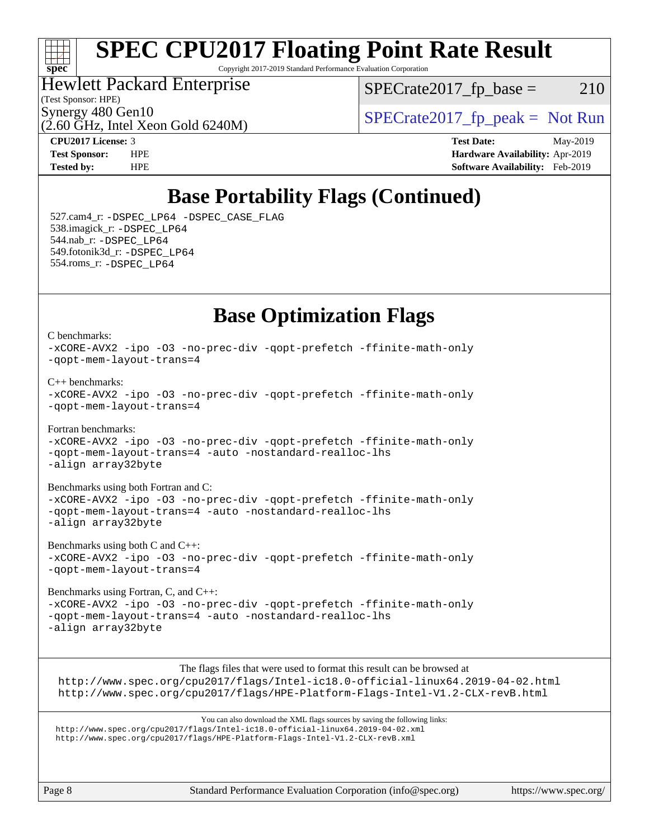#### $+\!+\!$ [spec](http://www.spec.org/)<sup>\*</sup>

# **[SPEC CPU2017 Floating Point Rate Result](http://www.spec.org/auto/cpu2017/Docs/result-fields.html#SPECCPU2017FloatingPointRateResult)**

Copyright 2017-2019 Standard Performance Evaluation Corporation

### Hewlett Packard Enterprise

 $(2.60 \text{ GHz}, \text{Intel Xeon}$  Gold 6240M)

(Test Sponsor: HPE)

 $SPECTate2017<sub>fr</sub> base = 210$ 

Synergy 480 Gen10<br>  $SPECrate2017$  fp\_peak = Not Run

**[CPU2017 License:](http://www.spec.org/auto/cpu2017/Docs/result-fields.html#CPU2017License)** 3 **[Test Date:](http://www.spec.org/auto/cpu2017/Docs/result-fields.html#TestDate)** May-2019 **[Test Sponsor:](http://www.spec.org/auto/cpu2017/Docs/result-fields.html#TestSponsor)** HPE **[Hardware Availability:](http://www.spec.org/auto/cpu2017/Docs/result-fields.html#HardwareAvailability)** Apr-2019 **[Tested by:](http://www.spec.org/auto/cpu2017/Docs/result-fields.html#Testedby)** HPE **[Software Availability:](http://www.spec.org/auto/cpu2017/Docs/result-fields.html#SoftwareAvailability)** Feb-2019

# **[Base Portability Flags \(Continued\)](http://www.spec.org/auto/cpu2017/Docs/result-fields.html#BasePortabilityFlags)**

 527.cam4\_r: [-DSPEC\\_LP64](http://www.spec.org/cpu2017/results/res2019q3/cpu2017-20190624-15622.flags.html#suite_basePORTABILITY527_cam4_r_DSPEC_LP64) [-DSPEC\\_CASE\\_FLAG](http://www.spec.org/cpu2017/results/res2019q3/cpu2017-20190624-15622.flags.html#b527.cam4_r_baseCPORTABILITY_DSPEC_CASE_FLAG) 538.imagick\_r: [-DSPEC\\_LP64](http://www.spec.org/cpu2017/results/res2019q3/cpu2017-20190624-15622.flags.html#suite_basePORTABILITY538_imagick_r_DSPEC_LP64) 544.nab\_r: [-DSPEC\\_LP64](http://www.spec.org/cpu2017/results/res2019q3/cpu2017-20190624-15622.flags.html#suite_basePORTABILITY544_nab_r_DSPEC_LP64) 549.fotonik3d\_r: [-DSPEC\\_LP64](http://www.spec.org/cpu2017/results/res2019q3/cpu2017-20190624-15622.flags.html#suite_basePORTABILITY549_fotonik3d_r_DSPEC_LP64) 554.roms\_r: [-DSPEC\\_LP64](http://www.spec.org/cpu2017/results/res2019q3/cpu2017-20190624-15622.flags.html#suite_basePORTABILITY554_roms_r_DSPEC_LP64)

## **[Base Optimization Flags](http://www.spec.org/auto/cpu2017/Docs/result-fields.html#BaseOptimizationFlags)**

[C benchmarks](http://www.spec.org/auto/cpu2017/Docs/result-fields.html#Cbenchmarks): [-xCORE-AVX2](http://www.spec.org/cpu2017/results/res2019q3/cpu2017-20190624-15622.flags.html#user_CCbase_f-xCORE-AVX2) [-ipo](http://www.spec.org/cpu2017/results/res2019q3/cpu2017-20190624-15622.flags.html#user_CCbase_f-ipo) [-O3](http://www.spec.org/cpu2017/results/res2019q3/cpu2017-20190624-15622.flags.html#user_CCbase_f-O3) [-no-prec-div](http://www.spec.org/cpu2017/results/res2019q3/cpu2017-20190624-15622.flags.html#user_CCbase_f-no-prec-div) [-qopt-prefetch](http://www.spec.org/cpu2017/results/res2019q3/cpu2017-20190624-15622.flags.html#user_CCbase_f-qopt-prefetch) [-ffinite-math-only](http://www.spec.org/cpu2017/results/res2019q3/cpu2017-20190624-15622.flags.html#user_CCbase_f_finite_math_only_cb91587bd2077682c4b38af759c288ed7c732db004271a9512da14a4f8007909a5f1427ecbf1a0fb78ff2a814402c6114ac565ca162485bbcae155b5e4258871) [-qopt-mem-layout-trans=4](http://www.spec.org/cpu2017/results/res2019q3/cpu2017-20190624-15622.flags.html#user_CCbase_f-qopt-mem-layout-trans_fa39e755916c150a61361b7846f310bcdf6f04e385ef281cadf3647acec3f0ae266d1a1d22d972a7087a248fd4e6ca390a3634700869573d231a252c784941a8) [C++ benchmarks:](http://www.spec.org/auto/cpu2017/Docs/result-fields.html#CXXbenchmarks) [-xCORE-AVX2](http://www.spec.org/cpu2017/results/res2019q3/cpu2017-20190624-15622.flags.html#user_CXXbase_f-xCORE-AVX2) [-ipo](http://www.spec.org/cpu2017/results/res2019q3/cpu2017-20190624-15622.flags.html#user_CXXbase_f-ipo) [-O3](http://www.spec.org/cpu2017/results/res2019q3/cpu2017-20190624-15622.flags.html#user_CXXbase_f-O3) [-no-prec-div](http://www.spec.org/cpu2017/results/res2019q3/cpu2017-20190624-15622.flags.html#user_CXXbase_f-no-prec-div) [-qopt-prefetch](http://www.spec.org/cpu2017/results/res2019q3/cpu2017-20190624-15622.flags.html#user_CXXbase_f-qopt-prefetch) [-ffinite-math-only](http://www.spec.org/cpu2017/results/res2019q3/cpu2017-20190624-15622.flags.html#user_CXXbase_f_finite_math_only_cb91587bd2077682c4b38af759c288ed7c732db004271a9512da14a4f8007909a5f1427ecbf1a0fb78ff2a814402c6114ac565ca162485bbcae155b5e4258871) [-qopt-mem-layout-trans=4](http://www.spec.org/cpu2017/results/res2019q3/cpu2017-20190624-15622.flags.html#user_CXXbase_f-qopt-mem-layout-trans_fa39e755916c150a61361b7846f310bcdf6f04e385ef281cadf3647acec3f0ae266d1a1d22d972a7087a248fd4e6ca390a3634700869573d231a252c784941a8) [Fortran benchmarks](http://www.spec.org/auto/cpu2017/Docs/result-fields.html#Fortranbenchmarks): [-xCORE-AVX2](http://www.spec.org/cpu2017/results/res2019q3/cpu2017-20190624-15622.flags.html#user_FCbase_f-xCORE-AVX2) [-ipo](http://www.spec.org/cpu2017/results/res2019q3/cpu2017-20190624-15622.flags.html#user_FCbase_f-ipo) [-O3](http://www.spec.org/cpu2017/results/res2019q3/cpu2017-20190624-15622.flags.html#user_FCbase_f-O3) [-no-prec-div](http://www.spec.org/cpu2017/results/res2019q3/cpu2017-20190624-15622.flags.html#user_FCbase_f-no-prec-div) [-qopt-prefetch](http://www.spec.org/cpu2017/results/res2019q3/cpu2017-20190624-15622.flags.html#user_FCbase_f-qopt-prefetch) [-ffinite-math-only](http://www.spec.org/cpu2017/results/res2019q3/cpu2017-20190624-15622.flags.html#user_FCbase_f_finite_math_only_cb91587bd2077682c4b38af759c288ed7c732db004271a9512da14a4f8007909a5f1427ecbf1a0fb78ff2a814402c6114ac565ca162485bbcae155b5e4258871) [-qopt-mem-layout-trans=4](http://www.spec.org/cpu2017/results/res2019q3/cpu2017-20190624-15622.flags.html#user_FCbase_f-qopt-mem-layout-trans_fa39e755916c150a61361b7846f310bcdf6f04e385ef281cadf3647acec3f0ae266d1a1d22d972a7087a248fd4e6ca390a3634700869573d231a252c784941a8) [-auto](http://www.spec.org/cpu2017/results/res2019q3/cpu2017-20190624-15622.flags.html#user_FCbase_f-auto) [-nostandard-realloc-lhs](http://www.spec.org/cpu2017/results/res2019q3/cpu2017-20190624-15622.flags.html#user_FCbase_f_2003_std_realloc_82b4557e90729c0f113870c07e44d33d6f5a304b4f63d4c15d2d0f1fab99f5daaed73bdb9275d9ae411527f28b936061aa8b9c8f2d63842963b95c9dd6426b8a) [-align array32byte](http://www.spec.org/cpu2017/results/res2019q3/cpu2017-20190624-15622.flags.html#user_FCbase_align_array32byte_b982fe038af199962ba9a80c053b8342c548c85b40b8e86eb3cc33dee0d7986a4af373ac2d51c3f7cf710a18d62fdce2948f201cd044323541f22fc0fffc51b6) [Benchmarks using both Fortran and C](http://www.spec.org/auto/cpu2017/Docs/result-fields.html#BenchmarksusingbothFortranandC): [-xCORE-AVX2](http://www.spec.org/cpu2017/results/res2019q3/cpu2017-20190624-15622.flags.html#user_CC_FCbase_f-xCORE-AVX2) [-ipo](http://www.spec.org/cpu2017/results/res2019q3/cpu2017-20190624-15622.flags.html#user_CC_FCbase_f-ipo) [-O3](http://www.spec.org/cpu2017/results/res2019q3/cpu2017-20190624-15622.flags.html#user_CC_FCbase_f-O3) [-no-prec-div](http://www.spec.org/cpu2017/results/res2019q3/cpu2017-20190624-15622.flags.html#user_CC_FCbase_f-no-prec-div) [-qopt-prefetch](http://www.spec.org/cpu2017/results/res2019q3/cpu2017-20190624-15622.flags.html#user_CC_FCbase_f-qopt-prefetch) [-ffinite-math-only](http://www.spec.org/cpu2017/results/res2019q3/cpu2017-20190624-15622.flags.html#user_CC_FCbase_f_finite_math_only_cb91587bd2077682c4b38af759c288ed7c732db004271a9512da14a4f8007909a5f1427ecbf1a0fb78ff2a814402c6114ac565ca162485bbcae155b5e4258871) [-qopt-mem-layout-trans=4](http://www.spec.org/cpu2017/results/res2019q3/cpu2017-20190624-15622.flags.html#user_CC_FCbase_f-qopt-mem-layout-trans_fa39e755916c150a61361b7846f310bcdf6f04e385ef281cadf3647acec3f0ae266d1a1d22d972a7087a248fd4e6ca390a3634700869573d231a252c784941a8) [-auto](http://www.spec.org/cpu2017/results/res2019q3/cpu2017-20190624-15622.flags.html#user_CC_FCbase_f-auto) [-nostandard-realloc-lhs](http://www.spec.org/cpu2017/results/res2019q3/cpu2017-20190624-15622.flags.html#user_CC_FCbase_f_2003_std_realloc_82b4557e90729c0f113870c07e44d33d6f5a304b4f63d4c15d2d0f1fab99f5daaed73bdb9275d9ae411527f28b936061aa8b9c8f2d63842963b95c9dd6426b8a) [-align array32byte](http://www.spec.org/cpu2017/results/res2019q3/cpu2017-20190624-15622.flags.html#user_CC_FCbase_align_array32byte_b982fe038af199962ba9a80c053b8342c548c85b40b8e86eb3cc33dee0d7986a4af373ac2d51c3f7cf710a18d62fdce2948f201cd044323541f22fc0fffc51b6) [Benchmarks using both C and C++](http://www.spec.org/auto/cpu2017/Docs/result-fields.html#BenchmarksusingbothCandCXX): [-xCORE-AVX2](http://www.spec.org/cpu2017/results/res2019q3/cpu2017-20190624-15622.flags.html#user_CC_CXXbase_f-xCORE-AVX2) [-ipo](http://www.spec.org/cpu2017/results/res2019q3/cpu2017-20190624-15622.flags.html#user_CC_CXXbase_f-ipo) [-O3](http://www.spec.org/cpu2017/results/res2019q3/cpu2017-20190624-15622.flags.html#user_CC_CXXbase_f-O3) [-no-prec-div](http://www.spec.org/cpu2017/results/res2019q3/cpu2017-20190624-15622.flags.html#user_CC_CXXbase_f-no-prec-div) [-qopt-prefetch](http://www.spec.org/cpu2017/results/res2019q3/cpu2017-20190624-15622.flags.html#user_CC_CXXbase_f-qopt-prefetch) [-ffinite-math-only](http://www.spec.org/cpu2017/results/res2019q3/cpu2017-20190624-15622.flags.html#user_CC_CXXbase_f_finite_math_only_cb91587bd2077682c4b38af759c288ed7c732db004271a9512da14a4f8007909a5f1427ecbf1a0fb78ff2a814402c6114ac565ca162485bbcae155b5e4258871) [-qopt-mem-layout-trans=4](http://www.spec.org/cpu2017/results/res2019q3/cpu2017-20190624-15622.flags.html#user_CC_CXXbase_f-qopt-mem-layout-trans_fa39e755916c150a61361b7846f310bcdf6f04e385ef281cadf3647acec3f0ae266d1a1d22d972a7087a248fd4e6ca390a3634700869573d231a252c784941a8)

[Benchmarks using Fortran, C, and C++:](http://www.spec.org/auto/cpu2017/Docs/result-fields.html#BenchmarksusingFortranCandCXX) [-xCORE-AVX2](http://www.spec.org/cpu2017/results/res2019q3/cpu2017-20190624-15622.flags.html#user_CC_CXX_FCbase_f-xCORE-AVX2) [-ipo](http://www.spec.org/cpu2017/results/res2019q3/cpu2017-20190624-15622.flags.html#user_CC_CXX_FCbase_f-ipo) [-O3](http://www.spec.org/cpu2017/results/res2019q3/cpu2017-20190624-15622.flags.html#user_CC_CXX_FCbase_f-O3) [-no-prec-div](http://www.spec.org/cpu2017/results/res2019q3/cpu2017-20190624-15622.flags.html#user_CC_CXX_FCbase_f-no-prec-div) [-qopt-prefetch](http://www.spec.org/cpu2017/results/res2019q3/cpu2017-20190624-15622.flags.html#user_CC_CXX_FCbase_f-qopt-prefetch) [-ffinite-math-only](http://www.spec.org/cpu2017/results/res2019q3/cpu2017-20190624-15622.flags.html#user_CC_CXX_FCbase_f_finite_math_only_cb91587bd2077682c4b38af759c288ed7c732db004271a9512da14a4f8007909a5f1427ecbf1a0fb78ff2a814402c6114ac565ca162485bbcae155b5e4258871) [-qopt-mem-layout-trans=4](http://www.spec.org/cpu2017/results/res2019q3/cpu2017-20190624-15622.flags.html#user_CC_CXX_FCbase_f-qopt-mem-layout-trans_fa39e755916c150a61361b7846f310bcdf6f04e385ef281cadf3647acec3f0ae266d1a1d22d972a7087a248fd4e6ca390a3634700869573d231a252c784941a8) [-auto](http://www.spec.org/cpu2017/results/res2019q3/cpu2017-20190624-15622.flags.html#user_CC_CXX_FCbase_f-auto) [-nostandard-realloc-lhs](http://www.spec.org/cpu2017/results/res2019q3/cpu2017-20190624-15622.flags.html#user_CC_CXX_FCbase_f_2003_std_realloc_82b4557e90729c0f113870c07e44d33d6f5a304b4f63d4c15d2d0f1fab99f5daaed73bdb9275d9ae411527f28b936061aa8b9c8f2d63842963b95c9dd6426b8a) [-align array32byte](http://www.spec.org/cpu2017/results/res2019q3/cpu2017-20190624-15622.flags.html#user_CC_CXX_FCbase_align_array32byte_b982fe038af199962ba9a80c053b8342c548c85b40b8e86eb3cc33dee0d7986a4af373ac2d51c3f7cf710a18d62fdce2948f201cd044323541f22fc0fffc51b6)

The flags files that were used to format this result can be browsed at <http://www.spec.org/cpu2017/flags/Intel-ic18.0-official-linux64.2019-04-02.html> <http://www.spec.org/cpu2017/flags/HPE-Platform-Flags-Intel-V1.2-CLX-revB.html>

You can also download the XML flags sources by saving the following links: <http://www.spec.org/cpu2017/flags/Intel-ic18.0-official-linux64.2019-04-02.xml> <http://www.spec.org/cpu2017/flags/HPE-Platform-Flags-Intel-V1.2-CLX-revB.xml>